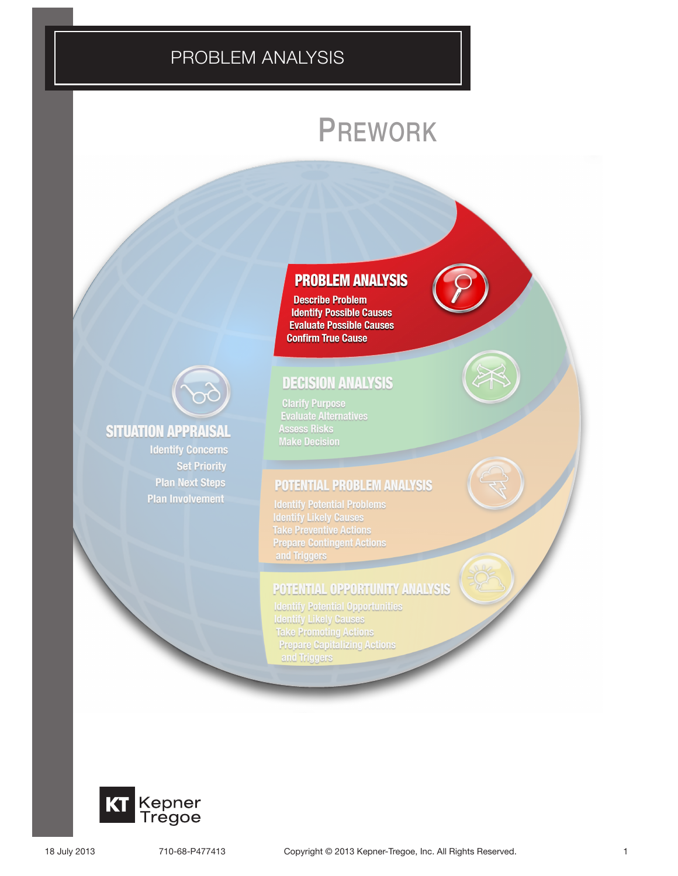# PROBLEM ANALYSIS PROBLEM ANALYSIS

# PREWORK



## **SITUATION APPRAISAL**

**Identify Concerns Set Priority Plan Next Steps Plan Involvement** 

### **PROBLEM ANALYSIS**

**Describe Problem Identify Possible Causes Evaluate Possible Causes Confirm True Cause** 

# **DECISION ANALYSIS**

**Clarify Purpose<br>Evaluate Alternatives Assess Risks Make Decision** 

### **POTENTIAL PROBLEM ANALYSIS**

**Identify Potential Problems Identify Likely Causes Take Preventive Actions Prepare Contingent Actions** and Triggers

### **POTENTIAL OPPORTUNITY ANALYSIS**

**Identify Potential Opportunities<br>Identify Likely Causes Take Promoting Actions Prepare Capitalizing Actions** and Triggers

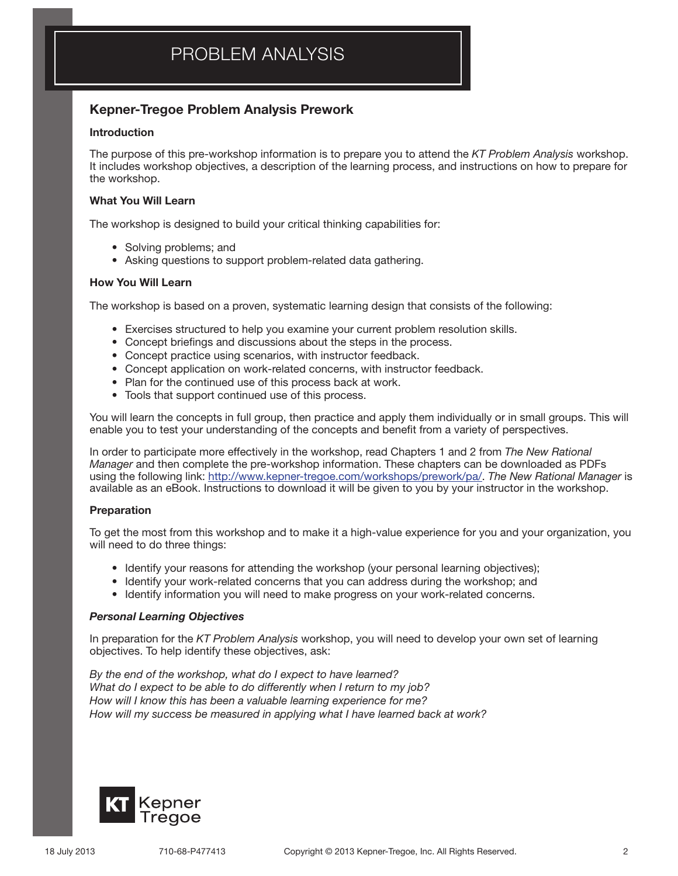# PROBLEM ANALYSIS

### Kepner-Tregoe Problem Analysis Prework

#### Introduction

The purpose of this pre-workshop information is to prepare you to attend the *KT Problem Analysis* workshop. It includes workshop objectives, a description of the learning process, and instructions on how to prepare for the workshop.

#### What You Will Learn

The workshop is designed to build your critical thinking capabilities for:

- Solving problems; and
- Asking questions to support problem-related data gathering.

#### How You Will Learn

The workshop is based on a proven, systematic learning design that consists of the following:

- • Exercises structured to help you examine your current problem resolution skills.
- Concept briefings and discussions about the steps in the process.
- Concept practice using scenarios, with instructor feedback.
- Concept application on work-related concerns, with instructor feedback.
- Plan for the continued use of this process back at work.
- Tools that support continued use of this process.

You will learn the concepts in full group, then practice and apply them individually or in small groups. This will enable you to test your understanding of the concepts and benefit from a variety of perspectives.

In order to participate more effectively in the workshop, read Chapters 1 and 2 from *The New Rational Manager* and then complete the pre-workshop information. These chapters can be downloaded as PDFs using the following link: http://www.kepner-tregoe.com/workshops/prework/pa/. *The New Rational Manager* is available as an eBook. Instructions to download it will be given to you by your instructor in the workshop.

#### Preparation

To get the most from this workshop and to make it a high-value experience for you and your organization, you will need to do three things:

- Identify your reasons for attending the workshop (your personal learning objectives);
- Identify your work-related concerns that you can address during the workshop; and
- • Identify information you will need to make progress on your work-related concerns.

#### *Personal Learning Objectives*

In preparation for the *KT Problem Analysis* workshop, you will need to develop your own set of learning objectives. To help identify these objectives, ask:

*By the end of the workshop, what do I expect to have learned? What do I expect to be able to do differently when I return to my job? How will I know this has been a valuable learning experience for me? How will my success be measured in applying what I have learned back at work?*

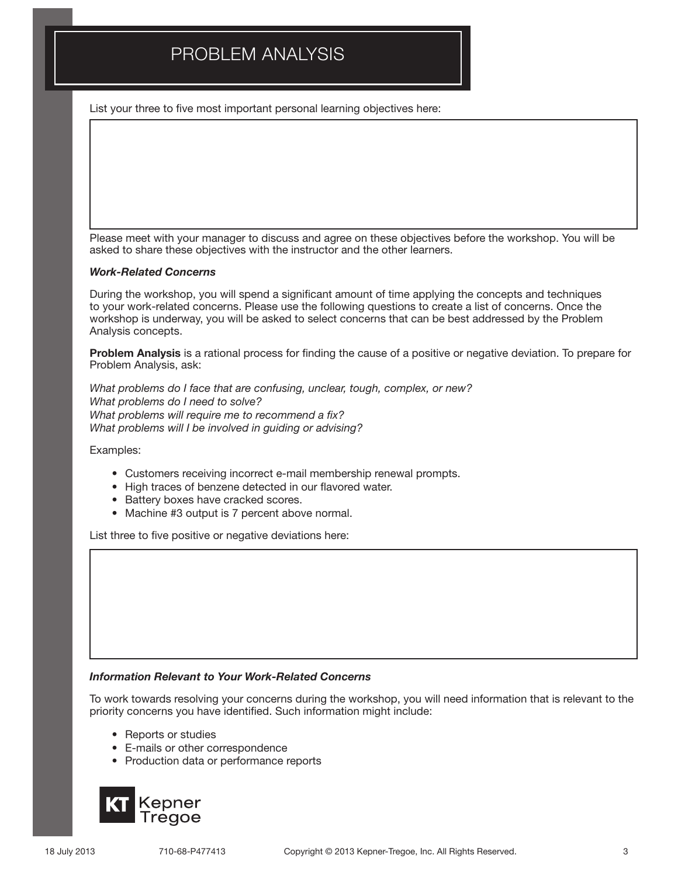# PROBLEM ANALYSIS

List your three to five most important personal learning objectives here:

Please meet with your manager to discuss and agree on these objectives before the workshop. You will be asked to share these objectives with the instructor and the other learners.

#### *Work-Related Concerns*

During the workshop, you will spend a significant amount of time applying the concepts and techniques to your work-related concerns. Please use the following questions to create a list of concerns. Once the workshop is underway, you will be asked to select concerns that can be best addressed by the Problem Analysis concepts.

Problem Analysis is a rational process for finding the cause of a positive or negative deviation. To prepare for Problem Analysis, ask:

*What problems do I face that are confusing, unclear, tough, complex, or new? What problems do I need to solve? What problems will require me to recommend a fix? What problems will I be involved in guiding or advising?*

Examples:

- • Customers receiving incorrect e-mail membership renewal prompts.
- • High traces of benzene detected in our flavored water.
- Battery boxes have cracked scores.
- Machine #3 output is 7 percent above normal.

List three to five positive or negative deviations here:

#### *Information Relevant to Your Work-Related Concerns*

To work towards resolving your concerns during the workshop, you will need information that is relevant to the priority concerns you have identified. Such information might include:

- Reports or studies
- • E-mails or other correspondence
- • Production data or performance reports